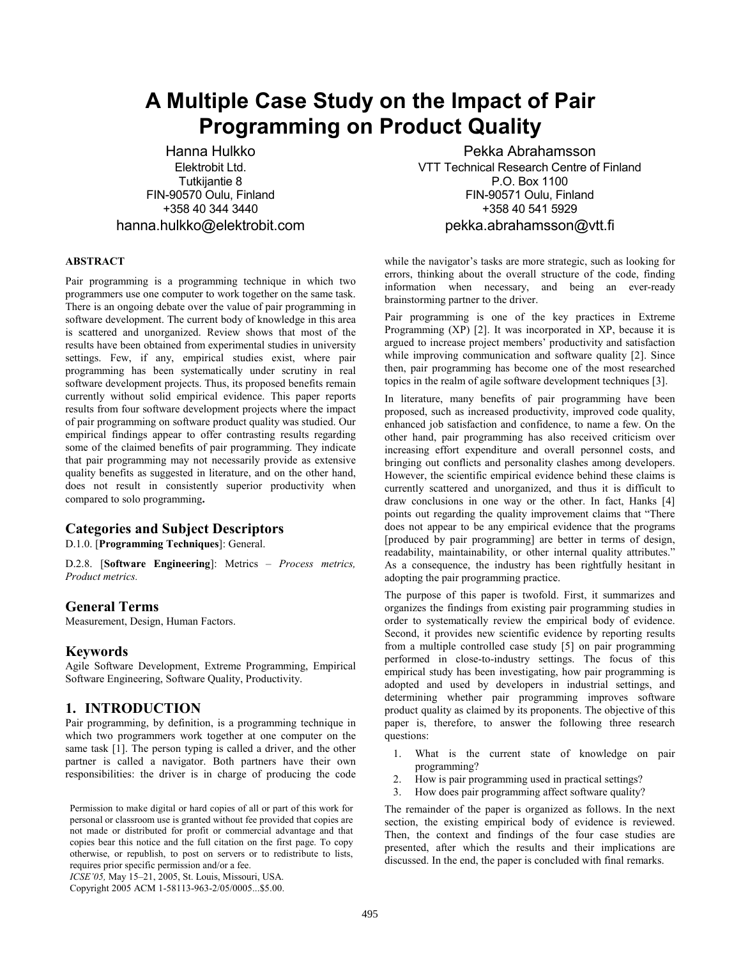# **A Multiple Case Study on the Impact of Pair Programming on Product Quality**

Hanna Hulkko Elektrobit Ltd. Tutkijantie 8 FIN-90570 Oulu, Finland +358 40 344 3440 hanna.hulkko@elektrobit.com

### **ABSTRACT**

Pair programming is a programming technique in which two programmers use one computer to work together on the same task. There is an ongoing debate over the value of pair programming in software development. The current body of knowledge in this area is scattered and unorganized. Review shows that most of the results have been obtained from experimental studies in university settings. Few, if any, empirical studies exist, where pair programming has been systematically under scrutiny in real software development projects. Thus, its proposed benefits remain currently without solid empirical evidence. This paper reports results from four software development projects where the impact of pair programming on software product quality was studied. Our empirical findings appear to offer contrasting results regarding some of the claimed benefits of pair programming. They indicate that pair programming may not necessarily provide as extensive quality benefits as suggested in literature, and on the other hand, does not result in consistently superior productivity when compared to solo programming**.**

# **Categories and Subject Descriptors**

D.1.0. [**Programming Techniques**]: General.

D.2.8. [**Software Engineering**]: Metrics – *Process metrics, Product metrics.* 

# **General Terms**

Measurement, Design, Human Factors.

# **Keywords**

Agile Software Development, Extreme Programming, Empirical Software Engineering, Software Quality, Productivity.

# **1. INTRODUCTION**

Pair programming, by definition, is a programming technique in which two programmers work together at one computer on the same task [1]. The person typing is called a driver, and the other partner is called a navigator. Both partners have their own responsibilities: the driver is in charge of producing the code

*ICSE'05,* May 15–21, 2005, St. Louis, Missouri, USA.

Copyright 2005 ACM 1-58113-963-2/05/0005...\$5.00.

Pekka Abrahamsson VTT Technical Research Centre of Finland P.O. Box 1100 FIN-90571 Oulu, Finland +358 40 541 5929 pekka.abrahamsson@vtt.fi

while the navigator's tasks are more strategic, such as looking for errors, thinking about the overall structure of the code, finding information when necessary, and being an ever-ready brainstorming partner to the driver.

Pair programming is one of the key practices in Extreme Programming (XP) [2]. It was incorporated in XP, because it is argued to increase project members' productivity and satisfaction while improving communication and software quality [2]. Since then, pair programming has become one of the most researched topics in the realm of agile software development techniques [3].

In literature, many benefits of pair programming have been proposed, such as increased productivity, improved code quality, enhanced job satisfaction and confidence, to name a few. On the other hand, pair programming has also received criticism over increasing effort expenditure and overall personnel costs, and bringing out conflicts and personality clashes among developers. However, the scientific empirical evidence behind these claims is currently scattered and unorganized, and thus it is difficult to draw conclusions in one way or the other. In fact, Hanks [4] points out regarding the quality improvement claims that "There does not appear to be any empirical evidence that the programs [produced by pair programming] are better in terms of design, readability, maintainability, or other internal quality attributes." As a consequence, the industry has been rightfully hesitant in adopting the pair programming practice.

The purpose of this paper is twofold. First, it summarizes and organizes the findings from existing pair programming studies in order to systematically review the empirical body of evidence. Second, it provides new scientific evidence by reporting results from a multiple controlled case study [5] on pair programming performed in close-to-industry settings. The focus of this empirical study has been investigating, how pair programming is adopted and used by developers in industrial settings, and determining whether pair programming improves software product quality as claimed by its proponents. The objective of this paper is, therefore, to answer the following three research questions:

- 1. What is the current state of knowledge on pair programming?
- 2. How is pair programming used in practical settings?
- 3. How does pair programming affect software quality?

The remainder of the paper is organized as follows. In the next section, the existing empirical body of evidence is reviewed. Then, the context and findings of the four case studies are presented, after which the results and their implications are discussed. In the end, the paper is concluded with final remarks.

Permission to make digital or hard copies of all or part of this work for personal or classroom use is granted without fee provided that copies are not made or distributed for profit or commercial advantage and that copies bear this notice and the full citation on the first page. To copy otherwise, or republish, to post on servers or to redistribute to lists, requires prior specific permission and/or a fee.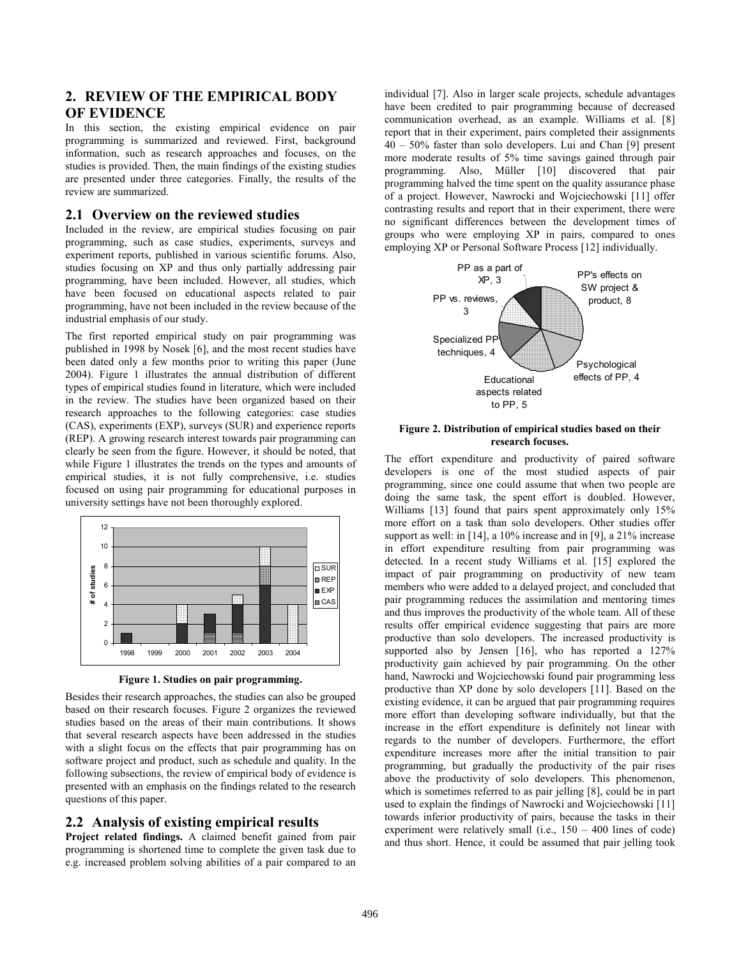# **2. REVIEW OF THE EMPIRICAL BODY OF EVIDENCE**

In this section, the existing empirical evidence on pair programming is summarized and reviewed. First, background information, such as research approaches and focuses, on the studies is provided. Then, the main findings of the existing studies are presented under three categories. Finally, the results of the review are summarized.

# **2.1 Overview on the reviewed studies**

Included in the review, are empirical studies focusing on pair programming, such as case studies, experiments, surveys and experiment reports, published in various scientific forums. Also, studies focusing on XP and thus only partially addressing pair programming, have been included. However, all studies, which have been focused on educational aspects related to pair programming, have not been included in the review because of the industrial emphasis of our study.

The first reported empirical study on pair programming was published in 1998 by Nosek [6], and the most recent studies have been dated only a few months prior to writing this paper (June 2004). Figure 1 illustrates the annual distribution of different types of empirical studies found in literature, which were included in the review. The studies have been organized based on their research approaches to the following categories: case studies (CAS), experiments (EXP), surveys (SUR) and experience reports (REP). A growing research interest towards pair programming can clearly be seen from the figure. However, it should be noted, that while Figure 1 illustrates the trends on the types and amounts of empirical studies, it is not fully comprehensive, i.e. studies focused on using pair programming for educational purposes in university settings have not been thoroughly explored.



**Figure 1. Studies on pair programming.** 

Besides their research approaches, the studies can also be grouped based on their research focuses. Figure 2 organizes the reviewed studies based on the areas of their main contributions. It shows that several research aspects have been addressed in the studies with a slight focus on the effects that pair programming has on software project and product, such as schedule and quality. In the following subsections, the review of empirical body of evidence is presented with an emphasis on the findings related to the research questions of this paper.

# **2.2 Analysis of existing empirical results**

**Project related findings.** A claimed benefit gained from pair programming is shortened time to complete the given task due to e.g. increased problem solving abilities of a pair compared to an

individual [7]. Also in larger scale projects, schedule advantages have been credited to pair programming because of decreased communication overhead, as an example. Williams et al. [8] report that in their experiment, pairs completed their assignments 40 – 50% faster than solo developers. Lui and Chan [9] present more moderate results of 5% time savings gained through pair programming. Also, Müller [10] discovered that pair programming halved the time spent on the quality assurance phase of a project. However, Nawrocki and Wojciechowski [11] offer contrasting results and report that in their experiment, there were no significant differences between the development times of groups who were employing XP in pairs, compared to ones employing XP or Personal Software Process [12] individually.



### **Figure 2. Distribution of empirical studies based on their research focuses.**

The effort expenditure and productivity of paired software developers is one of the most studied aspects of pair programming, since one could assume that when two people are doing the same task, the spent effort is doubled. However, Williams [13] found that pairs spent approximately only 15% more effort on a task than solo developers. Other studies offer support as well: in [14], a 10% increase and in [9], a 21% increase in effort expenditure resulting from pair programming was detected. In a recent study Williams et al. [15] explored the impact of pair programming on productivity of new team members who were added to a delayed project, and concluded that pair programming reduces the assimilation and mentoring times and thus improves the productivity of the whole team. All of these results offer empirical evidence suggesting that pairs are more productive than solo developers. The increased productivity is supported also by Jensen [16], who has reported a 127% productivity gain achieved by pair programming. On the other hand, Nawrocki and Wojciechowski found pair programming less productive than XP done by solo developers [11]. Based on the existing evidence, it can be argued that pair programming requires more effort than developing software individually, but that the increase in the effort expenditure is definitely not linear with regards to the number of developers. Furthermore, the effort expenditure increases more after the initial transition to pair programming, but gradually the productivity of the pair rises above the productivity of solo developers. This phenomenon, which is sometimes referred to as pair jelling [8], could be in part used to explain the findings of Nawrocki and Wojciechowski [11] towards inferior productivity of pairs, because the tasks in their experiment were relatively small (i.e., 150 – 400 lines of code) and thus short. Hence, it could be assumed that pair jelling took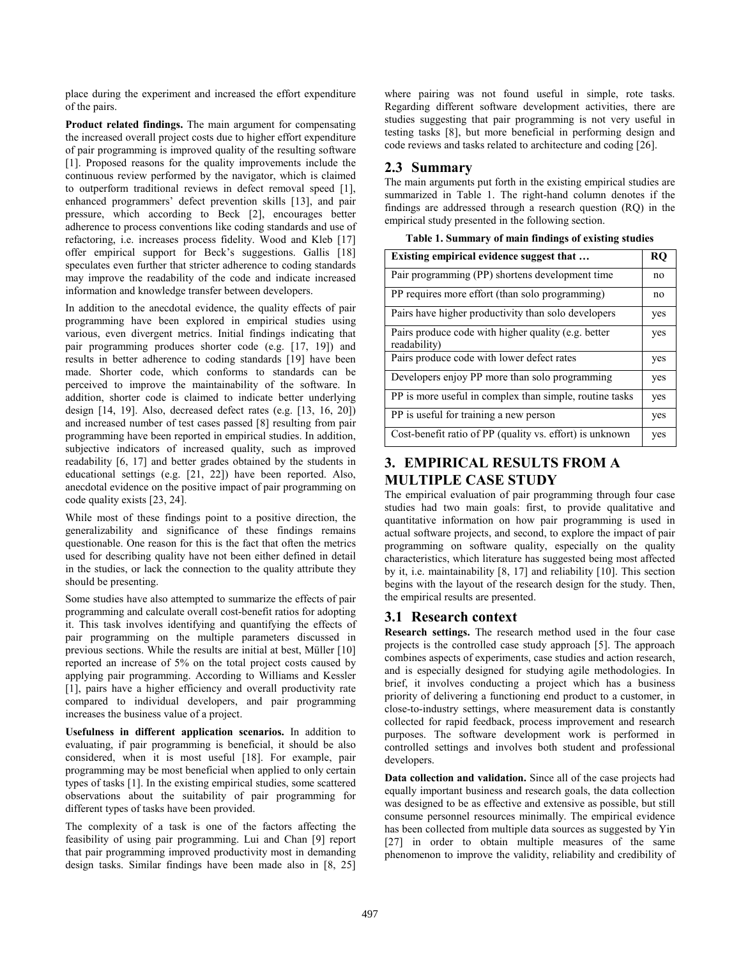place during the experiment and increased the effort expenditure of the pairs.

**Product related findings.** The main argument for compensating the increased overall project costs due to higher effort expenditure of pair programming is improved quality of the resulting software [1]. Proposed reasons for the quality improvements include the continuous review performed by the navigator, which is claimed to outperform traditional reviews in defect removal speed [1], enhanced programmers' defect prevention skills [13], and pair pressure, which according to Beck [2], encourages better adherence to process conventions like coding standards and use of refactoring, i.e. increases process fidelity. Wood and Kleb [17] offer empirical support for Beck's suggestions. Gallis [18] speculates even further that stricter adherence to coding standards may improve the readability of the code and indicate increased information and knowledge transfer between developers.

In addition to the anecdotal evidence, the quality effects of pair programming have been explored in empirical studies using various, even divergent metrics. Initial findings indicating that pair programming produces shorter code (e.g. [17, 19]) and results in better adherence to coding standards [19] have been made. Shorter code, which conforms to standards can be perceived to improve the maintainability of the software. In addition, shorter code is claimed to indicate better underlying design [14, 19]. Also, decreased defect rates (e.g. [13, 16, 20]) and increased number of test cases passed [8] resulting from pair programming have been reported in empirical studies. In addition, subjective indicators of increased quality, such as improved readability [6, 17] and better grades obtained by the students in educational settings (e.g. [21, 22]) have been reported. Also, anecdotal evidence on the positive impact of pair programming on code quality exists [23, 24].

While most of these findings point to a positive direction, the generalizability and significance of these findings remains questionable. One reason for this is the fact that often the metrics used for describing quality have not been either defined in detail in the studies, or lack the connection to the quality attribute they should be presenting.

Some studies have also attempted to summarize the effects of pair programming and calculate overall cost-benefit ratios for adopting it. This task involves identifying and quantifying the effects of pair programming on the multiple parameters discussed in previous sections. While the results are initial at best, Müller [10] reported an increase of 5% on the total project costs caused by applying pair programming. According to Williams and Kessler [1], pairs have a higher efficiency and overall productivity rate compared to individual developers, and pair programming increases the business value of a project.

**Usefulness in different application scenarios.** In addition to evaluating, if pair programming is beneficial, it should be also considered, when it is most useful [18]. For example, pair programming may be most beneficial when applied to only certain types of tasks [1]. In the existing empirical studies, some scattered observations about the suitability of pair programming for different types of tasks have been provided.

The complexity of a task is one of the factors affecting the feasibility of using pair programming. Lui and Chan [9] report that pair programming improved productivity most in demanding design tasks. Similar findings have been made also in [8, 25] where pairing was not found useful in simple, rote tasks. Regarding different software development activities, there are studies suggesting that pair programming is not very useful in testing tasks [8], but more beneficial in performing design and code reviews and tasks related to architecture and coding [26].

# **2.3 Summary**

The main arguments put forth in the existing empirical studies are summarized in Table 1. The right-hand column denotes if the findings are addressed through a research question (RQ) in the empirical study presented in the following section.

**Table 1. Summary of main findings of existing studies** 

| Existing empirical evidence suggest that                            | RO  |
|---------------------------------------------------------------------|-----|
| Pair programming (PP) shortens development time                     | no  |
| PP requires more effort (than solo programming)                     | no  |
| Pairs have higher productivity than solo developers                 | yes |
| Pairs produce code with higher quality (e.g. better<br>readability) | yes |
| Pairs produce code with lower defect rates                          | yes |
| Developers enjoy PP more than solo programming                      | yes |
| PP is more useful in complex than simple, routine tasks             | yes |
| PP is useful for training a new person                              | yes |
| Cost-benefit ratio of PP (quality vs. effort) is unknown            | yes |

# **3. EMPIRICAL RESULTS FROM A MULTIPLE CASE STUDY**

The empirical evaluation of pair programming through four case studies had two main goals: first, to provide qualitative and quantitative information on how pair programming is used in actual software projects, and second, to explore the impact of pair programming on software quality, especially on the quality characteristics, which literature has suggested being most affected by it, i.e. maintainability [8, 17] and reliability [10]. This section begins with the layout of the research design for the study. Then, the empirical results are presented.

# **3.1 Research context**

**Research settings.** The research method used in the four case projects is the controlled case study approach [5]. The approach combines aspects of experiments, case studies and action research, and is especially designed for studying agile methodologies. In brief, it involves conducting a project which has a business priority of delivering a functioning end product to a customer, in close-to-industry settings, where measurement data is constantly collected for rapid feedback, process improvement and research purposes. The software development work is performed in controlled settings and involves both student and professional developers.

**Data collection and validation.** Since all of the case projects had equally important business and research goals, the data collection was designed to be as effective and extensive as possible, but still consume personnel resources minimally. The empirical evidence has been collected from multiple data sources as suggested by Yin [27] in order to obtain multiple measures of the same phenomenon to improve the validity, reliability and credibility of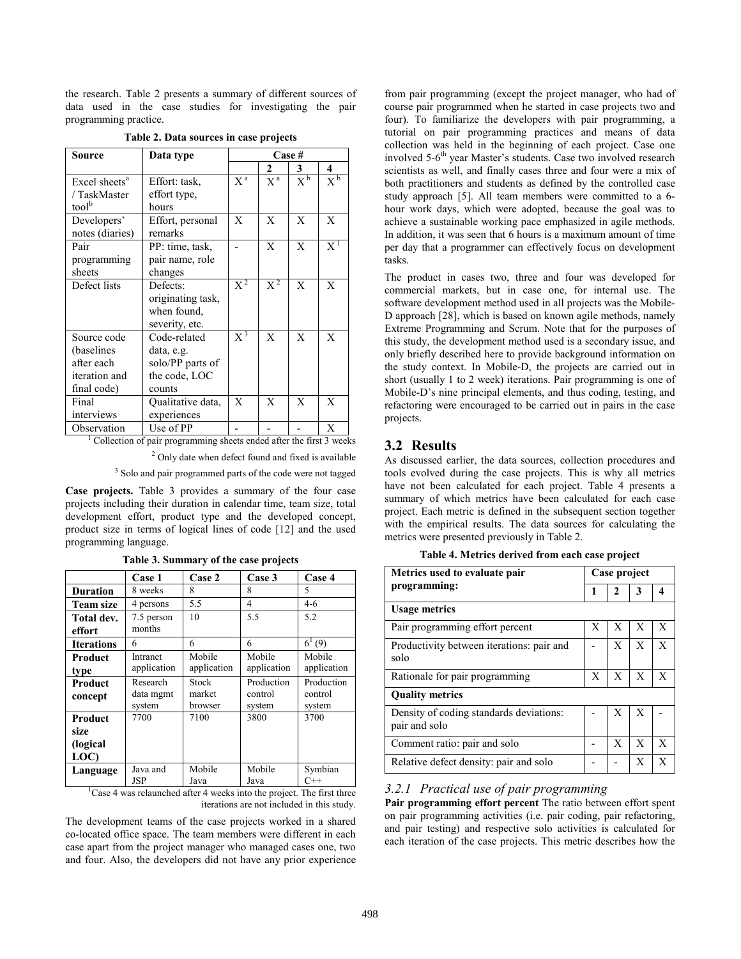the research. Table 2 presents a summary of different sources of data used in the case studies for investigating the pair programming practice.

| Source                    | Data type         | Case #               |                      |                    |       |
|---------------------------|-------------------|----------------------|----------------------|--------------------|-------|
|                           |                   |                      | 2                    | 3                  | 4     |
| Excel sheets <sup>a</sup> | Effort: task,     | $\overline{X}^{\,a}$ | $\overline{X}^{\,a}$ | $X^{\mathfrak{b}}$ | $X^b$ |
| / TaskMaster              | effort type,      |                      |                      |                    |       |
| tool                      | hours             |                      |                      |                    |       |
| Developers'               | Effort, personal  | X                    | X                    | X                  | X     |
| notes (diaries)           | remarks           |                      |                      |                    |       |
| Pair                      | PP: time, task,   |                      | X                    | X                  | $X^1$ |
| programming               | pair name, role   |                      |                      |                    |       |
| sheets                    | changes           |                      |                      |                    |       |
| Defect lists              | Defects:          | $X^2$                | $\overline{X^2}$     | X                  | X     |
|                           | originating task, |                      |                      |                    |       |
|                           | when found,       |                      |                      |                    |       |
|                           | severity, etc.    |                      |                      |                    |       |
| Source code               | Code-related      | $\overline{X}^3$     | X                    | X                  | X     |
| (baselines)               | data, e.g.        |                      |                      |                    |       |
| after each                | solo/PP parts of  |                      |                      |                    |       |
| iteration and             | the code, LOC     |                      |                      |                    |       |
| final code)               | counts            |                      |                      |                    |       |
| Final                     | Qualitative data, | X                    | X                    | X                  | X     |
| interviews                | experiences       |                      |                      |                    |       |
| Observation               | Use of PP         |                      |                      |                    | X     |

#### **Table 2. Data sources in case projects**

 $\frac{3}{1}$  Collection of pair programming sheets ended after the first 3 weeks

<sup>2</sup> Only date when defect found and fixed is available

<sup>3</sup> Solo and pair programmed parts of the code were not tagged

**Case projects.** Table 3 provides a summary of the four case projects including their duration in calendar time, team size, total development effort, product type and the developed concept, product size in terms of logical lines of code [12] and the used programming language.

|                                      | <b>Case 1</b>                   | Case 2                     | Case 3                          | Case 4                                                                                    |
|--------------------------------------|---------------------------------|----------------------------|---------------------------------|-------------------------------------------------------------------------------------------|
| <b>Duration</b>                      | 8 weeks                         | 8                          | 8                               | 5                                                                                         |
| <b>Team size</b>                     | 4 persons                       | 5.5                        | 4                               | $4-6$                                                                                     |
| Total dev.<br>effort                 | 7.5 person<br>months            | 10                         | 5.5                             | 5.2                                                                                       |
| <b>Iterations</b>                    | 6                               | 6                          | 6                               | $6^1(9)$                                                                                  |
| Product<br>type                      | Intranet<br>application         | Mobile<br>application      | Mobile<br>application           | Mobile<br>application                                                                     |
| <b>Product</b><br>concept            | Research<br>data mgmt<br>system | Stock<br>market<br>browser | Production<br>control<br>system | Production<br>control<br>system                                                           |
| Product<br>size<br>(logical)<br>LOC) | 7700                            | 7100                       | 3800                            | 3700                                                                                      |
| Language                             | Java and<br><b>JSP</b>          | Mobile<br>Java             | Mobile<br>Java                  | Symbian<br>$C++$<br>Case 4 was relaunched after 4 weeks into the project. The first three |

**Table 3. Summary of the case projects** 

iterations are not included in this study.

The development teams of the case projects worked in a shared co-located office space. The team members were different in each case apart from the project manager who managed cases one, two and four. Also, the developers did not have any prior experience

from pair programming (except the project manager, who had of course pair programmed when he started in case projects two and four). To familiarize the developers with pair programming, a tutorial on pair programming practices and means of data collection was held in the beginning of each project. Case one involved 5-6<sup>th</sup> year Master's students. Case two involved research scientists as well, and finally cases three and four were a mix of both practitioners and students as defined by the controlled case study approach [5]. All team members were committed to a 6 hour work days, which were adopted, because the goal was to achieve a sustainable working pace emphasized in agile methods. In addition, it was seen that 6 hours is a maximum amount of time per day that a programmer can effectively focus on development tasks.

The product in cases two, three and four was developed for commercial markets, but in case one, for internal use. The software development method used in all projects was the Mobile-D approach [28], which is based on known agile methods, namely Extreme Programming and Scrum. Note that for the purposes of this study, the development method used is a secondary issue, and only briefly described here to provide background information on the study context. In Mobile-D, the projects are carried out in short (usually 1 to 2 week) iterations. Pair programming is one of Mobile-D's nine principal elements, and thus coding, testing, and refactoring were encouraged to be carried out in pairs in the case projects.

# **3.2 Results**

As discussed earlier, the data sources, collection procedures and tools evolved during the case projects. This is why all metrics have not been calculated for each project. Table 4 presents a summary of which metrics have been calculated for each case project. Each metric is defined in the subsequent section together with the empirical results. The data sources for calculating the metrics were presented previously in Table 2.

**Table 4. Metrics derived from each case project** 

| Metrics used to evaluate pair<br>programming:            |   | Case project |   |   |  |
|----------------------------------------------------------|---|--------------|---|---|--|
|                                                          |   | 2            | 3 |   |  |
| <b>Usage metrics</b>                                     |   |              |   |   |  |
| Pair programming effort percent                          | X | X            | X | X |  |
| Productivity between iterations: pair and<br>solo        |   | X            | X | X |  |
| Rationale for pair programming                           | X | X            | X | X |  |
| <b>Quality metrics</b>                                   |   |              |   |   |  |
| Density of coding standards deviations:<br>pair and solo |   | X            | Х |   |  |
| Comment ratio: pair and solo                             |   | X            | X | X |  |
| Relative defect density: pair and solo                   |   |              | X | X |  |

### *3.2.1 Practical use of pair programming*

**Pair programming effort percent** The ratio between effort spent on pair programming activities (i.e. pair coding, pair refactoring, and pair testing) and respective solo activities is calculated for each iteration of the case projects. This metric describes how the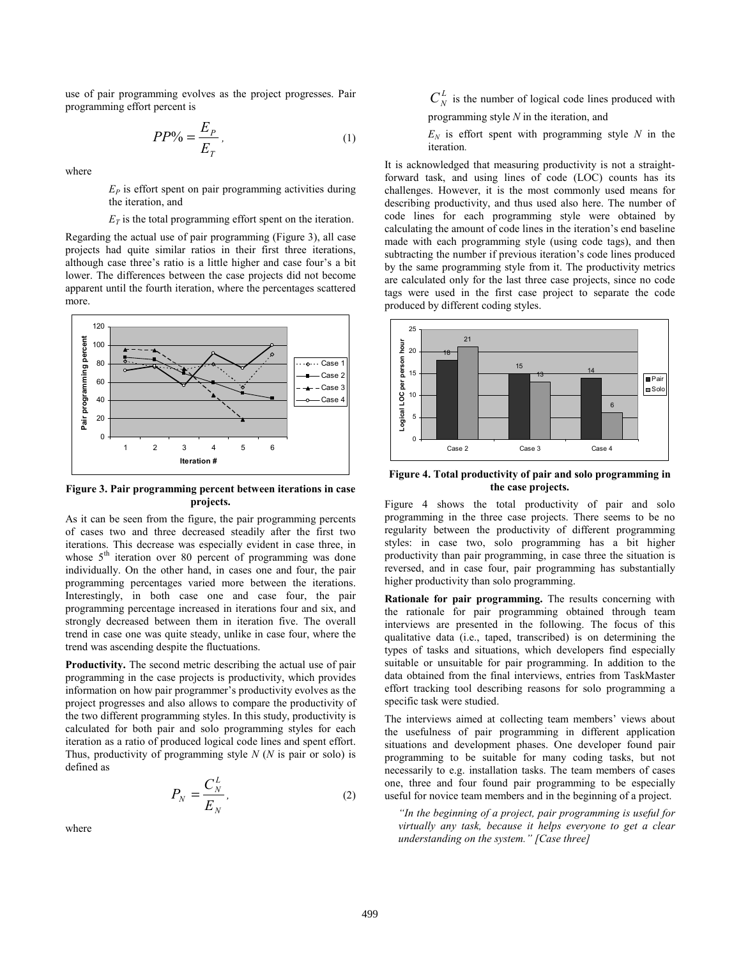use of pair programming evolves as the project progresses. Pair programming effort percent is

$$
PP\% = \frac{E_P}{E_T},\tag{1}
$$

where

 $E<sub>P</sub>$  is effort spent on pair programming activities during the iteration, and

 $E_T$  is the total programming effort spent on the iteration.

Regarding the actual use of pair programming (Figure 3), all case projects had quite similar ratios in their first three iterations, although case three's ratio is a little higher and case four's a bit lower. The differences between the case projects did not become apparent until the fourth iteration, where the percentages scattered more.



**Figure 3. Pair programming percent between iterations in case projects.** 

As it can be seen from the figure, the pair programming percents of cases two and three decreased steadily after the first two iterations. This decrease was especially evident in case three, in whose  $5<sup>th</sup>$  iteration over 80 percent of programming was done individually. On the other hand, in cases one and four, the pair programming percentages varied more between the iterations. Interestingly, in both case one and case four, the pair programming percentage increased in iterations four and six, and strongly decreased between them in iteration five. The overall trend in case one was quite steady, unlike in case four, where the trend was ascending despite the fluctuations.

**Productivity.** The second metric describing the actual use of pair programming in the case projects is productivity, which provides information on how pair programmer's productivity evolves as the project progresses and also allows to compare the productivity of the two different programming styles. In this study, productivity is calculated for both pair and solo programming styles for each iteration as a ratio of produced logical code lines and spent effort. Thus, productivity of programming style *N* (*N* is pair or solo) is defined as

$$
P_N = \frac{C_N^L}{E_N},\tag{2}
$$

where

 $C_N^L$  is the number of logical code lines produced with programming style *N* in the iteration, and

 $E_N$  is effort spent with programming style *N* in the iteration*.*

It is acknowledged that measuring productivity is not a straightforward task, and using lines of code (LOC) counts has its challenges. However, it is the most commonly used means for describing productivity, and thus used also here. The number of code lines for each programming style were obtained by calculating the amount of code lines in the iteration's end baseline made with each programming style (using code tags), and then subtracting the number if previous iteration's code lines produced by the same programming style from it. The productivity metrics are calculated only for the last three case projects, since no code tags were used in the first case project to separate the code produced by different coding styles.



**Figure 4. Total productivity of pair and solo programming in the case projects.** 

Figure 4 shows the total productivity of pair and solo programming in the three case projects. There seems to be no regularity between the productivity of different programming styles: in case two, solo programming has a bit higher productivity than pair programming, in case three the situation is reversed, and in case four, pair programming has substantially higher productivity than solo programming.

**Rationale for pair programming.** The results concerning with the rationale for pair programming obtained through team interviews are presented in the following. The focus of this qualitative data (i.e., taped, transcribed) is on determining the types of tasks and situations, which developers find especially suitable or unsuitable for pair programming. In addition to the data obtained from the final interviews, entries from TaskMaster effort tracking tool describing reasons for solo programming a specific task were studied.

The interviews aimed at collecting team members' views about the usefulness of pair programming in different application situations and development phases. One developer found pair programming to be suitable for many coding tasks, but not necessarily to e.g. installation tasks. The team members of cases one, three and four found pair programming to be especially useful for novice team members and in the beginning of a project.

*"In the beginning of a project, pair programming is useful for virtually any task, because it helps everyone to get a clear understanding on the system." [Case three]*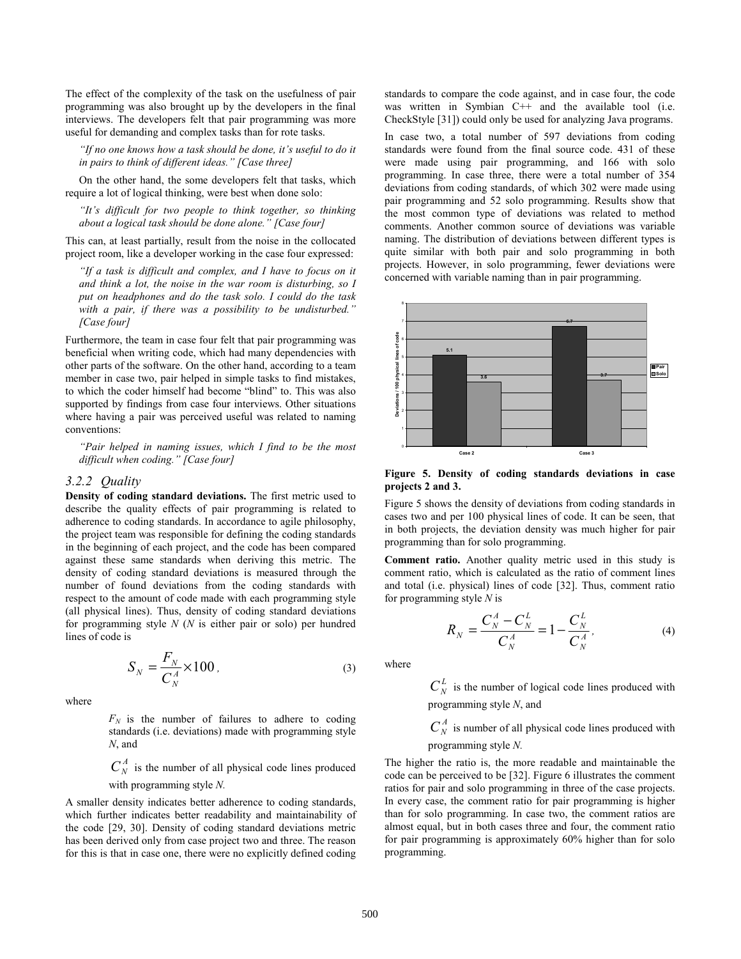The effect of the complexity of the task on the usefulness of pair programming was also brought up by the developers in the final interviews. The developers felt that pair programming was more useful for demanding and complex tasks than for rote tasks.

*"If no one knows how a task should be done, it's useful to do it in pairs to think of different ideas." [Case three]* 

On the other hand, the some developers felt that tasks, which require a lot of logical thinking, were best when done solo:

*"It's difficult for two people to think together, so thinking about a logical task should be done alone." [Case four]* 

This can, at least partially, result from the noise in the collocated project room, like a developer working in the case four expressed:

*"If a task is difficult and complex, and I have to focus on it and think a lot, the noise in the war room is disturbing, so I put on headphones and do the task solo. I could do the task with a pair, if there was a possibility to be undisturbed." [Case four]* 

Furthermore, the team in case four felt that pair programming was beneficial when writing code, which had many dependencies with other parts of the software. On the other hand, according to a team member in case two, pair helped in simple tasks to find mistakes, to which the coder himself had become "blind" to. This was also supported by findings from case four interviews. Other situations where having a pair was perceived useful was related to naming conventions:

*"Pair helped in naming issues, which I find to be the most difficult when coding." [Case four]* 

#### *3.2.2 Quality*

**Density of coding standard deviations.** The first metric used to describe the quality effects of pair programming is related to adherence to coding standards. In accordance to agile philosophy, the project team was responsible for defining the coding standards in the beginning of each project, and the code has been compared against these same standards when deriving this metric. The density of coding standard deviations is measured through the number of found deviations from the coding standards with respect to the amount of code made with each programming style (all physical lines). Thus, density of coding standard deviations for programming style *N* (*N* is either pair or solo) per hundred lines of code is

$$
S_N = \frac{F_N}{C_N^A} \times 100\,,\tag{3}
$$

where

 $F_N$  is the number of failures to adhere to coding standards (i.e. deviations) made with programming style *N*, and

 $C_N^A$  is the number of all physical code lines produced with programming style *N.*

A smaller density indicates better adherence to coding standards, which further indicates better readability and maintainability of the code [29, 30]. Density of coding standard deviations metric has been derived only from case project two and three. The reason for this is that in case one, there were no explicitly defined coding

standards to compare the code against, and in case four, the code was written in Symbian C++ and the available tool (i.e. CheckStyle [31]) could only be used for analyzing Java programs.

In case two, a total number of 597 deviations from coding standards were found from the final source code. 431 of these were made using pair programming, and 166 with solo programming. In case three, there were a total number of 354 deviations from coding standards, of which 302 were made using pair programming and 52 solo programming. Results show that the most common type of deviations was related to method comments. Another common source of deviations was variable naming. The distribution of deviations between different types is quite similar with both pair and solo programming in both projects. However, in solo programming, fewer deviations were concerned with variable naming than in pair programming.



**Figure 5. Density of coding standards deviations in case projects 2 and 3.**

Figure 5 shows the density of deviations from coding standards in cases two and per 100 physical lines of code. It can be seen, that in both projects, the deviation density was much higher for pair programming than for solo programming.

**Comment ratio.** Another quality metric used in this study is comment ratio, which is calculated as the ratio of comment lines and total (i.e. physical) lines of code [32]. Thus, comment ratio for programming style *N* is

$$
R_N = \frac{C_N^A - C_N^L}{C_N^A} = 1 - \frac{C_N^L}{C_N^A},
$$
\n(4)

where

 $C_N^L$  is the number of logical code lines produced with programming style *N*, and

 $C_N^A$  is number of all physical code lines produced with programming style *N.*

The higher the ratio is, the more readable and maintainable the code can be perceived to be [32]. Figure 6 illustrates the comment ratios for pair and solo programming in three of the case projects. In every case, the comment ratio for pair programming is higher than for solo programming. In case two, the comment ratios are almost equal, but in both cases three and four, the comment ratio for pair programming is approximately 60% higher than for solo programming.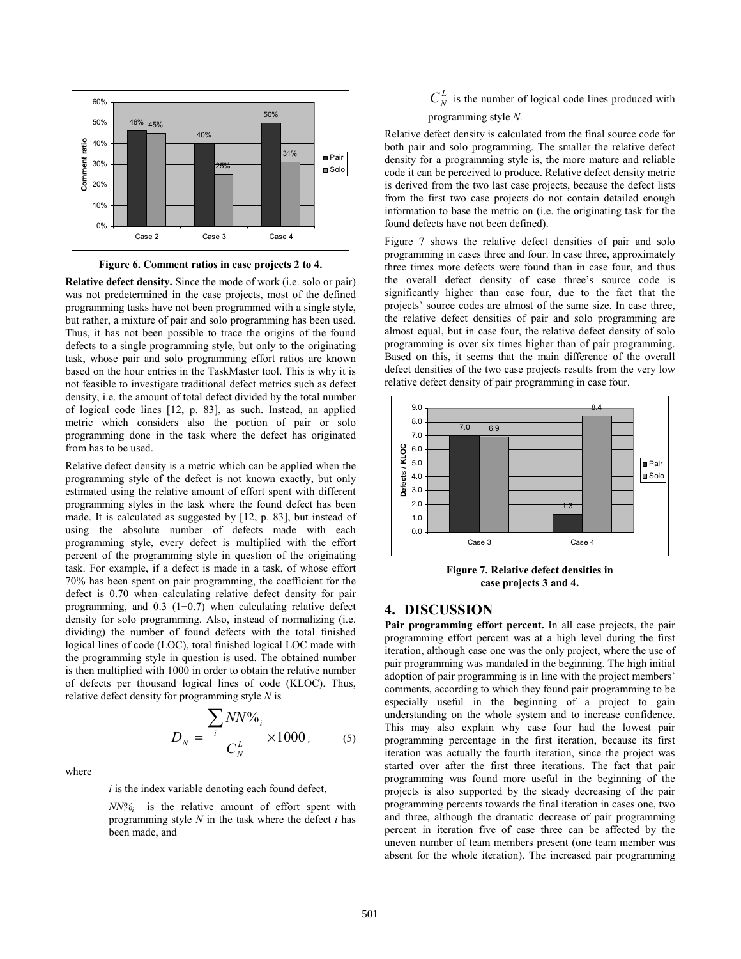

**Figure 6. Comment ratios in case projects 2 to 4.** 

**Relative defect density.** Since the mode of work (i.e. solo or pair) was not predetermined in the case projects, most of the defined programming tasks have not been programmed with a single style, but rather, a mixture of pair and solo programming has been used. Thus, it has not been possible to trace the origins of the found defects to a single programming style, but only to the originating task, whose pair and solo programming effort ratios are known based on the hour entries in the TaskMaster tool. This is why it is not feasible to investigate traditional defect metrics such as defect density, i.e. the amount of total defect divided by the total number of logical code lines [12, p. 83], as such. Instead, an applied metric which considers also the portion of pair or solo programming done in the task where the defect has originated from has to be used.

Relative defect density is a metric which can be applied when the programming style of the defect is not known exactly, but only estimated using the relative amount of effort spent with different programming styles in the task where the found defect has been made. It is calculated as suggested by [12, p. 83], but instead of using the absolute number of defects made with each programming style, every defect is multiplied with the effort percent of the programming style in question of the originating task. For example, if a defect is made in a task, of whose effort 70% has been spent on pair programming, the coefficient for the defect is 0.70 when calculating relative defect density for pair programming, and 0.3 (1−0.7) when calculating relative defect density for solo programming. Also, instead of normalizing (i.e. dividing) the number of found defects with the total finished logical lines of code (LOC), total finished logical LOC made with the programming style in question is used. The obtained number is then multiplied with 1000 in order to obtain the relative number of defects per thousand logical lines of code (KLOC). Thus, relative defect density for programming style *N* is

$$
D_N = \frac{\sum_{i} N N \%_{i}}{C_N^L} \times 1000, \qquad (5)
$$

where

*i* is the index variable denoting each found defect,

 *NN%i* is the relative amount of effort spent with programming style *N* in the task where the defect *i* has been made, and

 $C_N^L$  is the number of logical code lines produced with programming style *N.*

Relative defect density is calculated from the final source code for both pair and solo programming. The smaller the relative defect density for a programming style is, the more mature and reliable code it can be perceived to produce. Relative defect density metric is derived from the two last case projects, because the defect lists from the first two case projects do not contain detailed enough information to base the metric on (i.e. the originating task for the found defects have not been defined).

Figure 7 shows the relative defect densities of pair and solo programming in cases three and four. In case three, approximately three times more defects were found than in case four, and thus the overall defect density of case three's source code is significantly higher than case four, due to the fact that the projects' source codes are almost of the same size. In case three, the relative defect densities of pair and solo programming are almost equal, but in case four, the relative defect density of solo programming is over six times higher than of pair programming. Based on this, it seems that the main difference of the overall defect densities of the two case projects results from the very low relative defect density of pair programming in case four.



**Figure 7. Relative defect densities in case projects 3 and 4.** 

### **4. DISCUSSION**

Pair programming effort percent. In all case projects, the pair programming effort percent was at a high level during the first iteration, although case one was the only project, where the use of pair programming was mandated in the beginning. The high initial adoption of pair programming is in line with the project members' comments, according to which they found pair programming to be especially useful in the beginning of a project to gain understanding on the whole system and to increase confidence. This may also explain why case four had the lowest pair programming percentage in the first iteration, because its first iteration was actually the fourth iteration, since the project was started over after the first three iterations. The fact that pair programming was found more useful in the beginning of the projects is also supported by the steady decreasing of the pair programming percents towards the final iteration in cases one, two and three, although the dramatic decrease of pair programming percent in iteration five of case three can be affected by the uneven number of team members present (one team member was absent for the whole iteration). The increased pair programming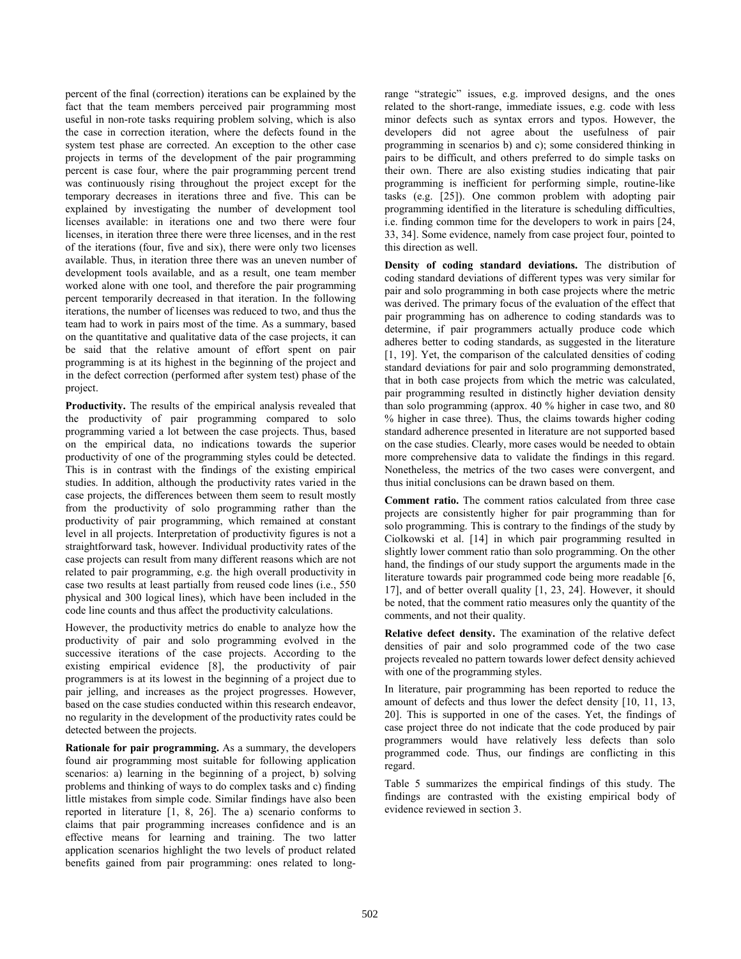percent of the final (correction) iterations can be explained by the fact that the team members perceived pair programming most useful in non-rote tasks requiring problem solving, which is also the case in correction iteration, where the defects found in the system test phase are corrected. An exception to the other case projects in terms of the development of the pair programming percent is case four, where the pair programming percent trend was continuously rising throughout the project except for the temporary decreases in iterations three and five. This can be explained by investigating the number of development tool licenses available: in iterations one and two there were four licenses, in iteration three there were three licenses, and in the rest of the iterations (four, five and six), there were only two licenses available. Thus, in iteration three there was an uneven number of development tools available, and as a result, one team member worked alone with one tool, and therefore the pair programming percent temporarily decreased in that iteration. In the following iterations, the number of licenses was reduced to two, and thus the team had to work in pairs most of the time. As a summary, based on the quantitative and qualitative data of the case projects, it can be said that the relative amount of effort spent on pair programming is at its highest in the beginning of the project and in the defect correction (performed after system test) phase of the project.

**Productivity.** The results of the empirical analysis revealed that the productivity of pair programming compared to solo programming varied a lot between the case projects. Thus, based on the empirical data, no indications towards the superior productivity of one of the programming styles could be detected. This is in contrast with the findings of the existing empirical studies. In addition, although the productivity rates varied in the case projects, the differences between them seem to result mostly from the productivity of solo programming rather than the productivity of pair programming, which remained at constant level in all projects. Interpretation of productivity figures is not a straightforward task, however. Individual productivity rates of the case projects can result from many different reasons which are not related to pair programming, e.g. the high overall productivity in case two results at least partially from reused code lines (i.e., 550 physical and 300 logical lines), which have been included in the code line counts and thus affect the productivity calculations.

However, the productivity metrics do enable to analyze how the productivity of pair and solo programming evolved in the successive iterations of the case projects. According to the existing empirical evidence [8], the productivity of pair programmers is at its lowest in the beginning of a project due to pair jelling, and increases as the project progresses. However, based on the case studies conducted within this research endeavor, no regularity in the development of the productivity rates could be detected between the projects.

**Rationale for pair programming.** As a summary, the developers found air programming most suitable for following application scenarios: a) learning in the beginning of a project, b) solving problems and thinking of ways to do complex tasks and c) finding little mistakes from simple code. Similar findings have also been reported in literature [1, 8, 26]. The a) scenario conforms to claims that pair programming increases confidence and is an effective means for learning and training. The two latter application scenarios highlight the two levels of product related benefits gained from pair programming: ones related to longrange "strategic" issues, e.g. improved designs, and the ones related to the short-range, immediate issues, e.g. code with less minor defects such as syntax errors and typos. However, the developers did not agree about the usefulness of pair programming in scenarios b) and c); some considered thinking in pairs to be difficult, and others preferred to do simple tasks on their own. There are also existing studies indicating that pair programming is inefficient for performing simple, routine-like tasks (e.g. [25]). One common problem with adopting pair programming identified in the literature is scheduling difficulties, i.e. finding common time for the developers to work in pairs [24, 33, 34]. Some evidence, namely from case project four, pointed to this direction as well.

**Density of coding standard deviations.** The distribution of coding standard deviations of different types was very similar for pair and solo programming in both case projects where the metric was derived. The primary focus of the evaluation of the effect that pair programming has on adherence to coding standards was to determine, if pair programmers actually produce code which adheres better to coding standards, as suggested in the literature [1, 19]. Yet, the comparison of the calculated densities of coding standard deviations for pair and solo programming demonstrated, that in both case projects from which the metric was calculated, pair programming resulted in distinctly higher deviation density than solo programming (approx. 40 % higher in case two, and 80 % higher in case three). Thus, the claims towards higher coding standard adherence presented in literature are not supported based on the case studies. Clearly, more cases would be needed to obtain more comprehensive data to validate the findings in this regard. Nonetheless, the metrics of the two cases were convergent, and thus initial conclusions can be drawn based on them.

**Comment ratio.** The comment ratios calculated from three case projects are consistently higher for pair programming than for solo programming. This is contrary to the findings of the study by Ciolkowski et al. [14] in which pair programming resulted in slightly lower comment ratio than solo programming. On the other hand, the findings of our study support the arguments made in the literature towards pair programmed code being more readable [6, 17], and of better overall quality [1, 23, 24]. However, it should be noted, that the comment ratio measures only the quantity of the comments, and not their quality.

**Relative defect density.** The examination of the relative defect densities of pair and solo programmed code of the two case projects revealed no pattern towards lower defect density achieved with one of the programming styles.

In literature, pair programming has been reported to reduce the amount of defects and thus lower the defect density [10, 11, 13, 20]. This is supported in one of the cases. Yet, the findings of case project three do not indicate that the code produced by pair programmers would have relatively less defects than solo programmed code. Thus, our findings are conflicting in this regard.

Table 5 summarizes the empirical findings of this study. The findings are contrasted with the existing empirical body of evidence reviewed in section 3.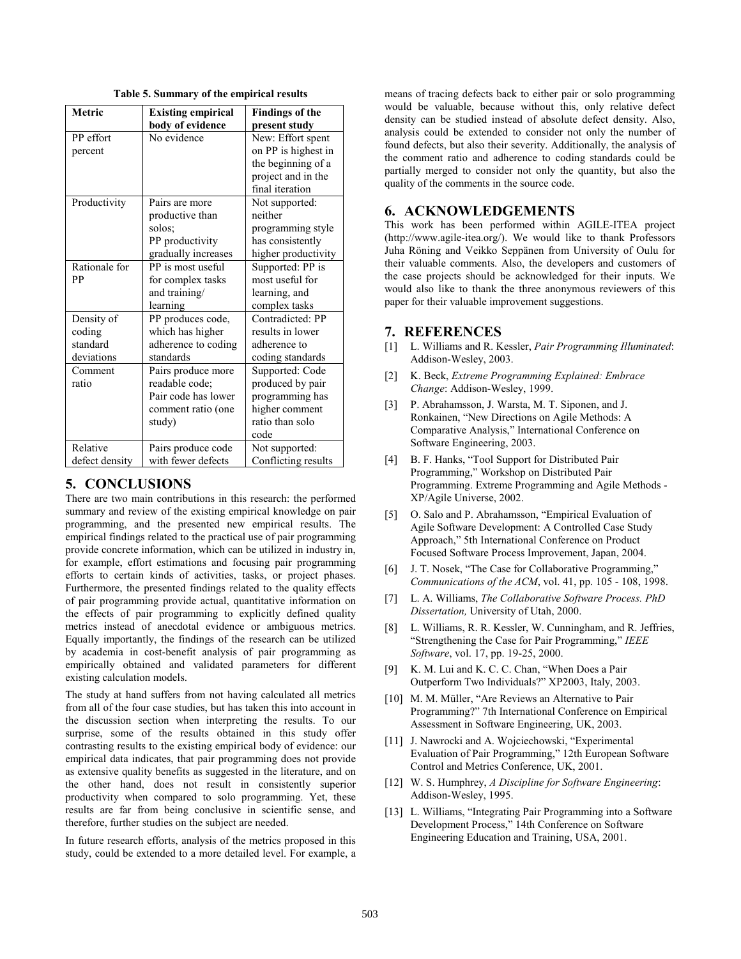| Metric         | <b>Existing empirical</b> | <b>Findings of the</b> |
|----------------|---------------------------|------------------------|
|                | body of evidence          | present study          |
| PP effort      | No evidence               | New: Effort spent      |
| percent        |                           | on PP is highest in    |
|                |                           | the beginning of a     |
|                |                           | project and in the     |
|                |                           | final iteration        |
| Productivity   | Pairs are more            | Not supported:         |
|                | productive than           | neither                |
|                | solos;                    | programming style      |
|                | PP productivity           | has consistently       |
|                | gradually increases       | higher productivity    |
| Rationale for  | PP is most useful         | Supported: PP is       |
| PP             | for complex tasks         | most useful for        |
|                | and training/             | learning, and          |
|                | learning                  | complex tasks          |
| Density of     | PP produces code,         | Contradicted: PP       |
| coding         | which has higher          | results in lower       |
| standard       | adherence to coding       | adherence to           |
| deviations     | standards                 | coding standards       |
| Comment        | Pairs produce more        | Supported: Code        |
| ratio          | readable code;            | produced by pair       |
|                | Pair code has lower       | programming has        |
|                | comment ratio (one        | higher comment         |
|                | study)                    | ratio than solo        |
|                |                           | code                   |
| Relative       | Pairs produce code        | Not supported:         |
| defect density | with fewer defects        | Conflicting results    |

**Table 5. Summary of the empirical results** 

# **5. CONCLUSIONS**

There are two main contributions in this research: the performed summary and review of the existing empirical knowledge on pair programming, and the presented new empirical results. The empirical findings related to the practical use of pair programming provide concrete information, which can be utilized in industry in, for example, effort estimations and focusing pair programming efforts to certain kinds of activities, tasks, or project phases. Furthermore, the presented findings related to the quality effects of pair programming provide actual, quantitative information on the effects of pair programming to explicitly defined quality metrics instead of anecdotal evidence or ambiguous metrics. Equally importantly, the findings of the research can be utilized by academia in cost-benefit analysis of pair programming as empirically obtained and validated parameters for different existing calculation models.

The study at hand suffers from not having calculated all metrics from all of the four case studies, but has taken this into account in the discussion section when interpreting the results. To our surprise, some of the results obtained in this study offer contrasting results to the existing empirical body of evidence: our empirical data indicates, that pair programming does not provide as extensive quality benefits as suggested in the literature, and on the other hand, does not result in consistently superior productivity when compared to solo programming. Yet, these results are far from being conclusive in scientific sense, and therefore, further studies on the subject are needed.

In future research efforts, analysis of the metrics proposed in this study, could be extended to a more detailed level. For example, a

means of tracing defects back to either pair or solo programming would be valuable, because without this, only relative defect density can be studied instead of absolute defect density. Also, analysis could be extended to consider not only the number of found defects, but also their severity. Additionally, the analysis of the comment ratio and adherence to coding standards could be partially merged to consider not only the quantity, but also the quality of the comments in the source code.

# **6. ACKNOWLEDGEMENTS**

This work has been performed within AGILE-ITEA project (http://www.agile-itea.org/). We would like to thank Professors Juha Röning and Veikko Seppänen from University of Oulu for their valuable comments. Also, the developers and customers of the case projects should be acknowledged for their inputs. We would also like to thank the three anonymous reviewers of this paper for their valuable improvement suggestions.

### **7. REFERENCES**

- [1] L. Williams and R. Kessler, *Pair Programming Illuminated*: Addison-Wesley, 2003.
- [2] K. Beck, *Extreme Programming Explained: Embrace Change*: Addison-Wesley, 1999.
- [3] P. Abrahamsson, J. Warsta, M. T. Siponen, and J. Ronkainen, "New Directions on Agile Methods: A Comparative Analysis," International Conference on Software Engineering, 2003.
- [4] B. F. Hanks, "Tool Support for Distributed Pair Programming," Workshop on Distributed Pair Programming. Extreme Programming and Agile Methods - XP/Agile Universe, 2002.
- [5] O. Salo and P. Abrahamsson, "Empirical Evaluation of Agile Software Development: A Controlled Case Study Approach," 5th International Conference on Product Focused Software Process Improvement, Japan, 2004.
- [6] J. T. Nosek, "The Case for Collaborative Programming," *Communications of the ACM*, vol. 41, pp. 105 - 108, 1998.
- [7] L. A. Williams, *The Collaborative Software Process. PhD Dissertation,* University of Utah, 2000.
- [8] L. Williams, R. R. Kessler, W. Cunningham, and R. Jeffries, "Strengthening the Case for Pair Programming," *IEEE Software*, vol. 17, pp. 19-25, 2000.
- [9] K. M. Lui and K. C. C. Chan, "When Does a Pair Outperform Two Individuals?" XP2003, Italy, 2003.
- [10] M. M. Müller, "Are Reviews an Alternative to Pair Programming?" 7th International Conference on Empirical Assessment in Software Engineering, UK, 2003.
- [11] J. Nawrocki and A. Wojciechowski, "Experimental Evaluation of Pair Programming," 12th European Software Control and Metrics Conference, UK, 2001.
- [12] W. S. Humphrey, *A Discipline for Software Engineering*: Addison-Wesley, 1995.
- [13] L. Williams, "Integrating Pair Programming into a Software Development Process," 14th Conference on Software Engineering Education and Training, USA, 2001.